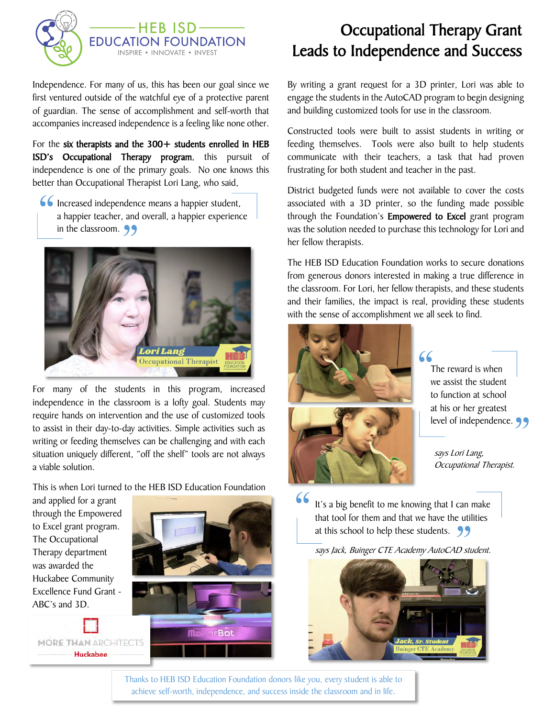

Independence. For many of us, this has been our goal since we first ventured outside of the watchful eye of a protective parent of guardian. The sense of accomplishment and self-worth that accompanies increased independence is a feeling like none other.

For the six therapists and the 300+ students enrolled in HEB ISD's Occupational Therapy program, this pursuit of independence is one of the primary goals. No one knows this better than Occupational Therapist Lori Lang, who said,

**66** Increased independence means a happier student,<br>a happier teacher, and overall, a happier experienc<br>in the classroom. a happier teacher, and overall, a happier experience in the classroom.  $\bigcirc$ in the classroom. 99



For many of the students in this program, increased independence in the classroom is a lofty goal. Students may require hands on intervention and the use of customized tools to assist in their day-to-day activities. Simple activities such as writing or feeding themselves can be challenging and with each situation uniquely different, "off the shelf" tools are not always a viable solution.

This is when Lori turned to the HEB ISD Education Foundation

and applied for a grant through the Empowered to Excel grant program. The Occupational Therapy department was awarded the Huckabee Community Excellence Fund Grant - ABC's and 3D.

MORE THAN ARCHITECTS Huckabee



## Occupational Therapy Grant Leads to Independence and Success

By writing a grant request for a 3D printer, Lori was able to engage the students in the AutoCAD program to begin designing and building customized tools for use in the classroom.

Constructed tools were built to assist students in writing or feeding themselves. Tools were also built to help students communicate with their teachers, a task that had proven frustrating for both student and teacher in the past.

District budgeted funds were not available to cover the costs associated with a 3D printer, so the funding made possible through the Foundation's Empowered to Excel grant program was the solution needed to purchase this technology for Lori and her fellow therapists.

The HEB ISD Education Foundation works to secure donations from generous donors interested in making a true difference in the classroom. For Lori, her fellow therapists, and these students and their families, the impact is real, providing these students with the sense of accomplishment we all seek to find.



The reward is when we assist the student to function at school at his or her greatest at his or her greatest<br>level of independence.

says Lori Lang, Occupational Therapist.

It's a big benefit to me knowing that I can make that tool for them and that we have the utilities<br>at this school to help these students. at this school to help these students. 99 66<br>|

says Jack, Buinger CTE Academy AutoCAD student.



Thanks to HEB ISD Education Foundation donors like you, every student is able to achieve self-worth, independence, and success inside the classroom and in life.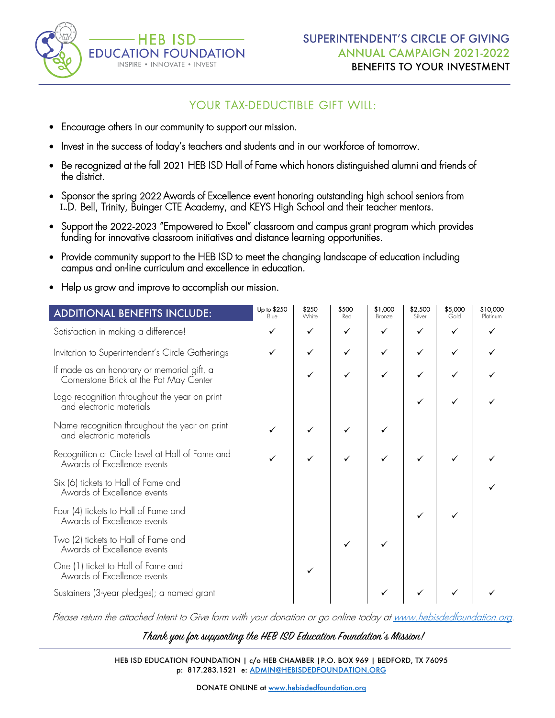

## YOUR TAX-DEDUCTIBLE GIFT WILL:

- Encourage others in our community to support our mission.
- Invest in the success of today's teachers and students and in our workforce of tomorrow.
- Be recognized at the fall 2021 HEB ISD Hall of Fame which honors distinguished alumni and friends of the district.
- Sponsor the spring 2022 Awards of Excellence event honoring outstanding high school seniors from **L.**D. Bell, Trinity, Buinger CTE Academy, and KEYS High School and their teacher mentors.
- Support the 2022-2023 "Empowered to Excel" classroom and campus grant program which provides funding for innovative classroom initiatives and distance learning opportunities.
- Provide community support to the HEB ISD to meet the changing landscape of education including campus and on-line curriculum and excellence in education.
- Help us grow and improve to accomplish our mission.

| <b>ADDITIONAL BENEFITS INCLUDE:</b>                                                   | Up to \$250<br>Blue | \$250<br>White | \$500<br>Red | \$1,000<br>Bronze | \$2,500<br>Silver | \$5,000<br>Gold | \$10,000<br>Platinum |
|---------------------------------------------------------------------------------------|---------------------|----------------|--------------|-------------------|-------------------|-----------------|----------------------|
| Satisfaction in making a difference!                                                  |                     | ✓              | ✓            | ✓                 | ✓                 | ✓               |                      |
| Invitation to Superintendent's Circle Gatherings                                      |                     | ✓              | ✓            |                   | ✓                 | ✓               |                      |
| If made as an honorary or memorial gift, a<br>Cornerstone Brick at the Pat May Center |                     | ✓              | ✓            |                   | ✓                 |                 |                      |
| Logo recognition throughout the year on print<br>and electronic materials             |                     |                |              |                   |                   | ✓               |                      |
| Name recognition throughout the year on print<br>and electronic materials             |                     |                |              |                   |                   |                 |                      |
| Recognition at Circle Level at Hall of Fame and<br>Awards of Excellence events        |                     |                |              |                   |                   |                 |                      |
| Six (6) tickets to Hall of Fame and<br>Awards of Excellence events                    |                     |                |              |                   |                   |                 |                      |
| Four (4) tickets to Hall of Fame and<br>Awards of Excellence events                   |                     |                |              |                   |                   |                 |                      |
| Two (2) tickets to Hall of Fame and<br>Awards of Excellence events                    |                     |                |              |                   |                   |                 |                      |
| One (1) ticket to Hall of Fame and<br>Awards of Excellence events                     |                     | ✓              |              |                   |                   |                 |                      |
| Sustainers (3-year pledges); a named grant                                            |                     |                |              |                   |                   |                 |                      |

Please return the attached Intent to Give form with your donation or go online today at www.hebisdedfoundation.org.

Thank you for supporting the HEB ISD Education Foundation's Mission!

HEB ISD EDUCATION FOUNDATION | c/o HEB CHAMBER |P.O. BOX 969 | BEDFORD, TX 76095 p: 817.283.1521 e: ADMIN@HEBISDEDFOUNDATION.ORG

DONATE ONLINE at www.hebisdedfoundation.org